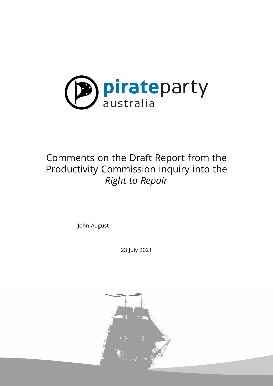

## Comments on the Draft Report from the Productivity Commission inquiry into the *Right to Repair*

John August

23 July 2021